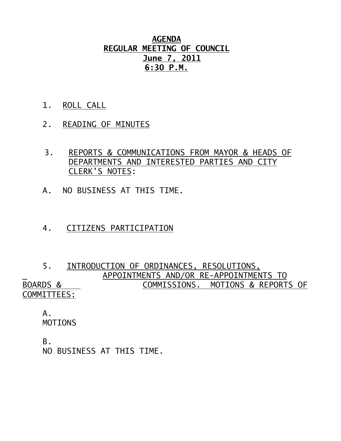## **AGENDA REGULAR MEETING OF COUNCIL June 7, 2011 6:30 P.M.**

- 1. ROLL CALL
- 2. READING OF MINUTES
- 3. REPORTS & COMMUNICATIONS FROM MAYOR & HEADS OF DEPARTMENTS AND INTERESTED PARTIES AND CITY CLERK'S NOTES:
- A. NO BUSINESS AT THIS TIME.
- 4. CITIZENS PARTICIPATION

## 5. INTRODUCTION OF ORDINANCES, RESOLUTIONS, APPOINTMENTS AND/OR RE-APPOINTMENTS TO BOARDS & COMMISSIONS. MOTIONS & REPORTS OF COMMITTEES:

 A. MOTIONS

B. NO BUSINESS AT THIS TIME.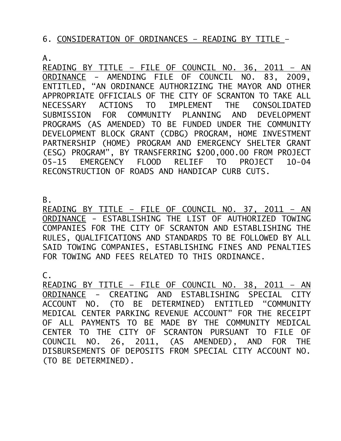## 6. CONSIDERATION OF ORDINANCES – READING BY TITLE –

A.

READING BY TITLE – FILE OF COUNCIL NO. 36, 2011 – AN ORDINANCE - AMENDING FILE OF COUNCIL NO. 83, 2009, ENTITLED, "AN ORDINANCE AUTHORIZING THE MAYOR AND OTHER APPROPRIATE OFFICIALS OF THE CITY OF SCRANTON TO TAKE ALL NECESSARY ACTIONS TO IMPLEMENT THE CONSOLIDATED SUBMISSION FOR COMMUNITY PLANNING AND DEVELOPMENT PROGRAMS (AS AMENDED) TO BE FUNDED UNDER THE COMMUNITY DEVELOPMENT BLOCK GRANT (CDBG) PROGRAM, HOME INVESTMENT PARTNERSHIP (HOME) PROGRAM AND EMERGENCY SHELTER GRANT (ESG) PROGRAM", BY TRANSFERRING \$200,000.00 FROM PROJECT 05-15 EMERGENCY FLOOD RELIEF TO PROJECT 10-04 RECONSTRUCTION OF ROADS AND HANDICAP CURB CUTS.

B.

READING BY TITLE – FILE OF COUNCIL NO. 37, 2011 – AN ORDINANCE - ESTABLISHING THE LIST OF AUTHORIZED TOWING COMPANIES FOR THE CITY OF SCRANTON AND ESTABLISHING THE RULES, QUALIFICATIONS AND STANDARDS TO BE FOLLOWED BY ALL SAID TOWING COMPANIES, ESTABLISHING FINES AND PENALTIES FOR TOWING AND FEES RELATED TO THIS ORDINANCE.

 $\mathsf{C}$ .

READING BY TITLE – FILE OF COUNCIL NO. 38, 2011 – AN ORDINANCE - CREATING AND ESTABLISHING SPECIAL CITY ACCOUNT NO. (TO BE DETERMINED) ENTITLED "COMMUNITY MEDICAL CENTER PARKING REVENUE ACCOUNT" FOR THE RECEIPT OF ALL PAYMENTS TO BE MADE BY THE COMMUNITY MEDICAL CENTER TO THE CITY OF SCRANTON PURSUANT TO FILE OF COUNCIL NO. 26, 2011, (AS AMENDED), AND FOR THE DISBURSEMENTS OF DEPOSITS FROM SPECIAL CITY ACCOUNT NO. (TO BE DETERMINED).